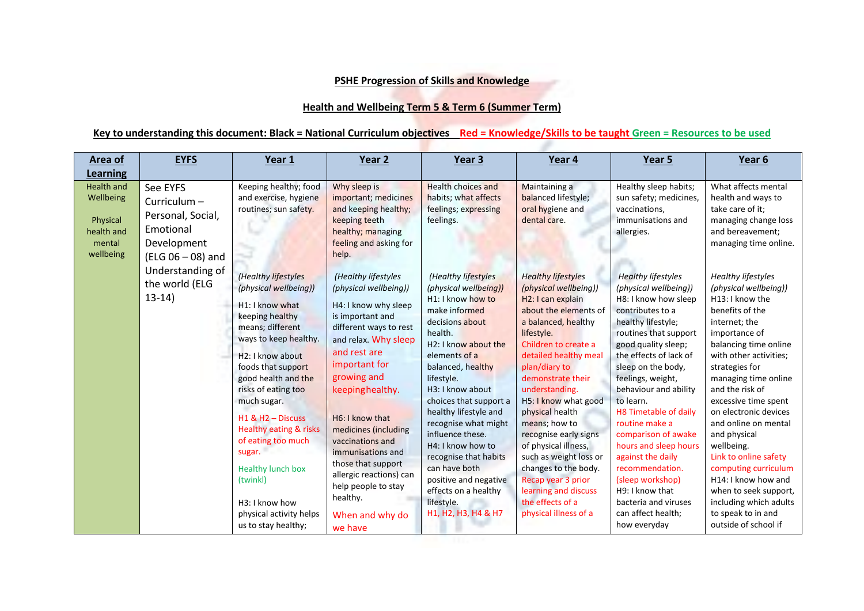## **PSHE Progression of Skills and Knowledge**

## **Health and Wellbeing Term 5 & Term 6 (Summer Term)**

## **Key to understanding this document: Black = National Curriculum objectives Red = Knowledge/Skills to be taught Green = Resources to be used**

| Area of<br>Learning                                                             | <b>EYFS</b>                                                                                                       | Year 1                                                                                                                                                                                                                                                                                                                                                                                                                                                                       | Year 2                                                                                                                                                                                                                                                                                                                                                                                                              | Year <sub>3</sub>                                                                                                                                                                                                                                                                                                                                                                                                                                                                 | Year 4                                                                                                                                                                                                                                                                                                                                                                                                                                                                                                                | Year 5                                                                                                                                                                                                                                                                                                                                                                                                                                                                                                                  | Year 6                                                                                                                                                                                                                                                                                                                                                                                                                                                                                                                     |
|---------------------------------------------------------------------------------|-------------------------------------------------------------------------------------------------------------------|------------------------------------------------------------------------------------------------------------------------------------------------------------------------------------------------------------------------------------------------------------------------------------------------------------------------------------------------------------------------------------------------------------------------------------------------------------------------------|---------------------------------------------------------------------------------------------------------------------------------------------------------------------------------------------------------------------------------------------------------------------------------------------------------------------------------------------------------------------------------------------------------------------|-----------------------------------------------------------------------------------------------------------------------------------------------------------------------------------------------------------------------------------------------------------------------------------------------------------------------------------------------------------------------------------------------------------------------------------------------------------------------------------|-----------------------------------------------------------------------------------------------------------------------------------------------------------------------------------------------------------------------------------------------------------------------------------------------------------------------------------------------------------------------------------------------------------------------------------------------------------------------------------------------------------------------|-------------------------------------------------------------------------------------------------------------------------------------------------------------------------------------------------------------------------------------------------------------------------------------------------------------------------------------------------------------------------------------------------------------------------------------------------------------------------------------------------------------------------|----------------------------------------------------------------------------------------------------------------------------------------------------------------------------------------------------------------------------------------------------------------------------------------------------------------------------------------------------------------------------------------------------------------------------------------------------------------------------------------------------------------------------|
| <b>Health and</b><br>Wellbeing<br>Physical<br>health and<br>mental<br>wellbeing | See EYFS<br>Curriculum-<br>Personal, Social,<br>Emotional<br>Development<br>(ELG 06 - 08) and<br>Understanding of | Keeping healthy; food<br>and exercise, hygiene<br>routines; sun safety.                                                                                                                                                                                                                                                                                                                                                                                                      | Why sleep is<br>important; medicines<br>and keeping healthy;<br>keeping teeth<br>healthy; managing<br>feeling and asking for<br>help.                                                                                                                                                                                                                                                                               | <b>Health choices and</b><br>habits; what affects<br>feelings; expressing<br>feelings.                                                                                                                                                                                                                                                                                                                                                                                            | Maintaining a<br>balanced lifestyle;<br>oral hygiene and<br>dental care.                                                                                                                                                                                                                                                                                                                                                                                                                                              | Healthy sleep habits;<br>sun safety; medicines,<br>vaccinations,<br>immunisations and<br>allergies.                                                                                                                                                                                                                                                                                                                                                                                                                     | What affects mental<br>health and ways to<br>take care of it;<br>managing change loss<br>and bereavement;<br>managing time online.                                                                                                                                                                                                                                                                                                                                                                                         |
|                                                                                 | the world (ELG<br>$13-14)$                                                                                        | (Healthy lifestyles<br>(physical wellbeing))<br>H <sub>1</sub> : I know what<br>keeping healthy<br>means; different<br>ways to keep healthy.<br>H <sub>2</sub> : I know about<br>foods that support<br>good health and the<br>risks of eating too<br>much sugar.<br>$H1$ & $H2 -$ Discuss<br>Healthy eating & risks<br>of eating too much<br>sugar.<br><b>Healthy lunch box</b><br>(twinkl)<br>H <sub>3</sub> : I know how<br>physical activity helps<br>us to stay healthy; | (Healthy lifestyles<br>(physical wellbeing))<br>H4: I know why sleep<br>is important and<br>different ways to rest<br>and relax. Why sleep<br>and rest are<br>important for<br>growing and<br>keepinghealthy.<br>H6: I know that<br>medicines (including<br>vaccinations and<br>immunisations and<br>those that support<br>allergic reactions) can<br>help people to stay<br>healthy.<br>When and why do<br>we have | (Healthy lifestyles<br>(physical wellbeing))<br>H1: I know how to<br>make informed<br>decisions about<br>health.<br>H <sub>2</sub> : I know about the<br>elements of a<br>balanced, healthy<br>lifestyle.<br>H3: I know about<br>choices that support a<br>healthy lifestyle and<br>recognise what might<br>influence these.<br>H4: I know how to<br>recognise that habits<br>can have both<br>positive and negative<br>effects on a healthy<br>lifestyle.<br>H1, H2, H3, H4 & H7 | <b>Healthy lifestyles</b><br>(physical wellbeing))<br>H <sub>2</sub> : I can explain<br>about the elements of<br>a balanced, healthy<br>lifestyle.<br>Children to create a<br>detailed healthy meal<br>plan/diary to<br>demonstrate their<br>understanding.<br>H5: I know what good<br>physical health<br>means; how to<br>recognise early signs<br>of physical illness,<br>such as weight loss or<br>changes to the body.<br>Recap year 3 prior<br>learning and discuss<br>the effects of a<br>physical illness of a | <b>Healthy lifestyles</b><br>(physical wellbeing))<br>H8: I know how sleep<br>contributes to a<br>healthy lifestyle;<br>routines that support<br>good quality sleep;<br>the effects of lack of<br>sleep on the body,<br>feelings, weight,<br>behaviour and ability<br>to learn.<br>H8 Timetable of daily<br>routine make a<br>comparison of awake<br>hours and sleep hours<br>against the daily<br>recommendation.<br>(sleep workshop)<br>H9: I know that<br>bacteria and viruses<br>can affect health;<br>how everyday | <b>Healthy lifestyles</b><br>(physical wellbeing))<br>H13: I know the<br>benefits of the<br>internet; the<br>importance of<br>balancing time online<br>with other activities;<br>strategies for<br>managing time online<br>and the risk of<br>excessive time spent<br>on electronic devices<br>and online on mental<br>and physical<br>wellbeing.<br>Link to online safety<br>computing curriculum<br>H14: I know how and<br>when to seek support,<br>including which adults<br>to speak to in and<br>outside of school if |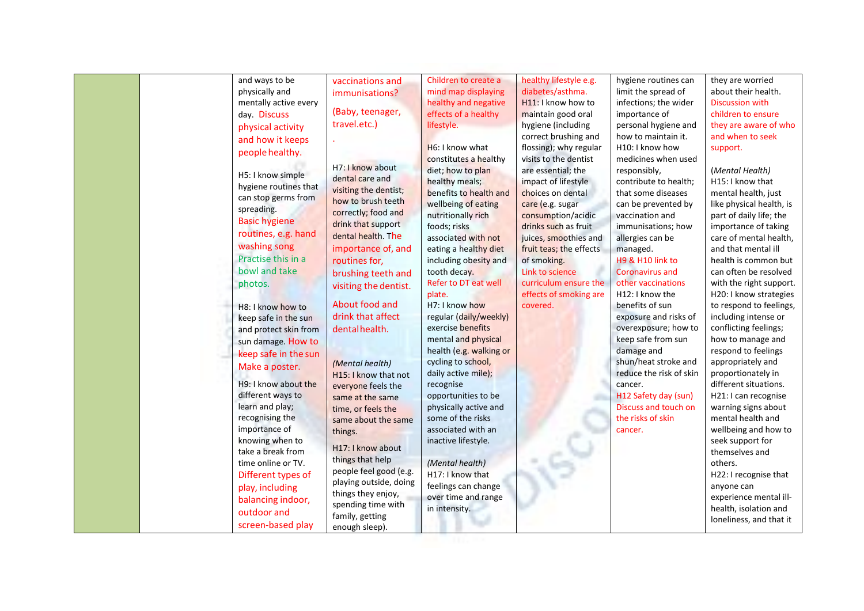|                       |                                            |                         | healthy lifestyle e.g.  | hygiene routines can    | they are worried         |
|-----------------------|--------------------------------------------|-------------------------|-------------------------|-------------------------|--------------------------|
| physically and        | immunisations?                             | mind map displaying     | diabetes/asthma.        | limit the spread of     | about their health.      |
| mentally active every |                                            | healthy and negative    | H11: I know how to      | infections; the wider   | <b>Discussion with</b>   |
| day. Discuss          | (Baby, teenager,                           | effects of a healthy    | maintain good oral      | importance of           | children to ensure       |
| physical activity     | travel.etc.)                               | lifestyle.              | hygiene (including      | personal hygiene and    | they are aware of who    |
| and how it keeps      |                                            |                         | correct brushing and    | how to maintain it.     | and when to seek         |
| people healthy.       |                                            | H6: I know what         | flossing); why regular  | H10: I know how         | support.                 |
|                       |                                            | constitutes a healthy   | visits to the dentist   | medicines when used     |                          |
| H5: I know simple     | H7: I know about                           | diet; how to plan       | are essential; the      | responsibly,            | (Mental Health)          |
| hygiene routines that | dental care and                            | healthy meals;          | impact of lifestyle     | contribute to health;   | H15: I know that         |
| can stop germs from   | visiting the dentist;                      | benefits to health and  | choices on dental       | that some diseases      | mental health, just      |
| spreading.            | how to brush teeth                         | wellbeing of eating     | care (e.g. sugar        | can be prevented by     | like physical health, is |
| <b>Basic hygiene</b>  | correctly; food and                        | nutritionally rich      | consumption/acidic      | vaccination and         | part of daily life; the  |
| routines, e.g. hand   | drink that support                         | foods; risks            | drinks such as fruit    | immunisations; how      | importance of taking     |
|                       | dental health. The                         | associated with not     | juices, smoothies and   | allergies can be        | care of mental health,   |
| washing song          | importance of, and                         | eating a healthy diet   | fruit teas; the effects | managed.                | and that mental ill      |
| Practise this in a    | routines for,                              | including obesity and   | of smoking.             | H9 & H10 link to        | health is common but     |
| bowl and take         | brushing teeth and                         | tooth decay.            | Link to science         | <b>Coronavirus and</b>  | can often be resolved    |
| photos.               | visiting the dentist.                      | Refer to DT eat well    | curriculum ensure the   | other vaccinations      | with the right support.  |
|                       |                                            | plate.                  | effects of smoking are  | H12: I know the         | H20: I know strategies   |
| H8: I know how to     | About food and                             | H7: I know how          | covered.                | benefits of sun         | to respond to feelings,  |
| keep safe in the sun  | drink that affect                          | regular (daily/weekly)  |                         | exposure and risks of   | including intense or     |
| and protect skin from | dentalhealth.                              | exercise benefits       |                         | overexposure; how to    | conflicting feelings;    |
| sun damage. How to    |                                            | mental and physical     |                         | keep safe from sun      | how to manage and        |
| keep safe in the sun  |                                            | health (e.g. walking or |                         | damage and              | respond to feelings      |
| Make a poster.        | (Mental health)                            | cycling to school,      |                         | shun/heat stroke and    | appropriately and        |
|                       | H15: I know that not                       | daily active mile);     |                         | reduce the risk of skin | proportionately in       |
| H9: I know about the  | everyone feels the                         | recognise               |                         | cancer.                 | different situations.    |
| different ways to     | same at the same                           | opportunities to be     |                         | H12 Safety day (sun)    | H21: I can recognise     |
| learn and play;       | time, or feels the                         | physically active and   |                         | Discuss and touch on    | warning signs about      |
| recognising the       | same about the same                        | some of the risks       |                         | the risks of skin       | mental health and        |
| importance of         | things.                                    | associated with an      |                         | cancer.                 | wellbeing and how to     |
| knowing when to       |                                            | inactive lifestyle.     |                         |                         | seek support for         |
| take a break from     | H17: I know about                          |                         |                         |                         | themselves and           |
| time online or TV.    | things that help<br>people feel good (e.g. | (Mental health)         |                         |                         | others.                  |
| Different types of    | playing outside, doing                     | H17: I know that        |                         |                         | H22: I recognise that    |
| play, including       |                                            | feelings can change     |                         |                         | anyone can               |
| balancing indoor,     | things they enjoy,<br>spending time with   | over time and range     |                         |                         | experience mental ill-   |
| outdoor and           |                                            | in intensity.           |                         |                         | health, isolation and    |
| screen-based play     | family, getting<br>enough sleep).          |                         |                         |                         | loneliness, and that it  |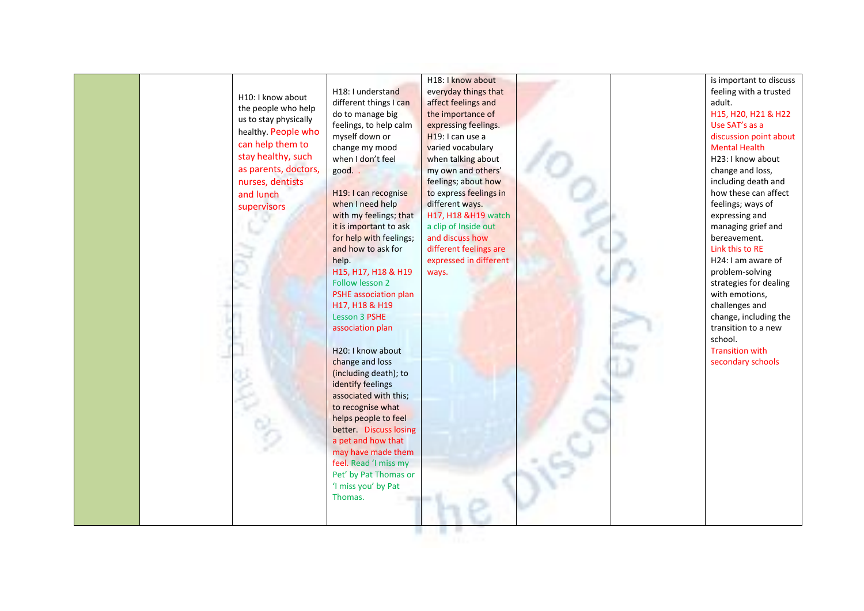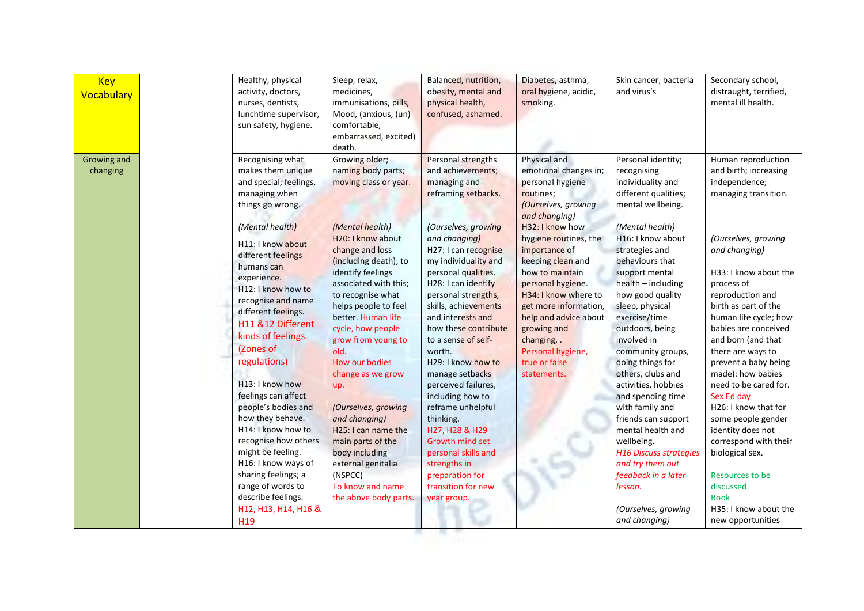| <b>Key</b><br>Vocabulary | Healthy, physical<br>activity, doctors,<br>nurses, dentists,<br>lunchtime supervisor,<br>sun safety, hygiene.                                                                                                                                                                                                                                                                                                                                                                                      | Sleep, relax,<br>medicines,<br>immunisations, pills,<br>Mood, (anxious, (un)<br>comfortable,<br>embarrassed, excited)<br>death.                                                                                                                                                                                                                                                                                                                                           | Balanced, nutrition,<br>obesity, mental and<br>physical health,<br>confused, ashamed.                                                                                                                                                                                                                                                                                                                                                                                                                                                      | Diabetes, asthma,<br>oral hygiene, acidic,<br>smoking.                                                                                                                                                                                                                                                                                                                                                | Skin cancer, bacteria<br>and virus's                                                                                                                                                                                                                                                                                                                                                                                                                                                                                                         | Secondary school,<br>distraught, terrified,<br>mental ill health.                                                                                                                                                                                                                                                                                                                                                                                                                                              |
|--------------------------|----------------------------------------------------------------------------------------------------------------------------------------------------------------------------------------------------------------------------------------------------------------------------------------------------------------------------------------------------------------------------------------------------------------------------------------------------------------------------------------------------|---------------------------------------------------------------------------------------------------------------------------------------------------------------------------------------------------------------------------------------------------------------------------------------------------------------------------------------------------------------------------------------------------------------------------------------------------------------------------|--------------------------------------------------------------------------------------------------------------------------------------------------------------------------------------------------------------------------------------------------------------------------------------------------------------------------------------------------------------------------------------------------------------------------------------------------------------------------------------------------------------------------------------------|-------------------------------------------------------------------------------------------------------------------------------------------------------------------------------------------------------------------------------------------------------------------------------------------------------------------------------------------------------------------------------------------------------|----------------------------------------------------------------------------------------------------------------------------------------------------------------------------------------------------------------------------------------------------------------------------------------------------------------------------------------------------------------------------------------------------------------------------------------------------------------------------------------------------------------------------------------------|----------------------------------------------------------------------------------------------------------------------------------------------------------------------------------------------------------------------------------------------------------------------------------------------------------------------------------------------------------------------------------------------------------------------------------------------------------------------------------------------------------------|
| Growing and<br>changing  | Recognising what<br>makes them unique<br>and special; feelings,<br>managing when<br>things go wrong.<br>(Mental health)<br>H11: I know about<br>different feelings<br>humans can<br>experience.<br>H12: I know how to<br>recognise and name<br>different feelings.<br>H11 &12 Different<br>kinds of feelings.<br>(Zones of<br>regulations)<br>H13: I know how<br>feelings can affect<br>people's bodies and<br>how they behave.<br>H14: I know how to<br>recognise how others<br>might be feeling. | Growing older;<br>naming body parts;<br>moving class or year.<br>(Mental health)<br>H20: I know about<br>change and loss<br>(including death); to<br>identify feelings<br>associated with this;<br>to recognise what<br>helps people to feel<br>better. Human life<br>cycle, how people<br>grow from young to<br>old.<br>How our bodies<br>change as we grow<br>up.<br>(Ourselves, growing<br>and changing)<br>H25: I can name the<br>main parts of the<br>body including | Personal strengths<br>and achievements;<br>managing and<br>reframing setbacks.<br>(Ourselves, growing<br>and changing)<br>H27: I can recognise<br>my individuality and<br>personal qualities.<br>H28: I can identify<br>personal strengths,<br>skills, achievements<br>and interests and<br>how these contribute<br>to a sense of self-<br>worth.<br>H29: I know how to<br>manage setbacks<br>perceived failures,<br>including how to<br>reframe unhelpful<br>thinking.<br>H27, H28 & H29<br><b>Growth mind set</b><br>personal skills and | Physical and<br>emotional changes in;<br>personal hygiene<br>routines;<br>(Ourselves, growing<br>and changing)<br>H32: I know how<br>hygiene routines, the<br>importance of<br>keeping clean and<br>how to maintain<br>personal hygiene.<br>H34: I know where to<br>get more information,<br>help and advice about<br>growing and<br>changing, .<br>Personal hygiene,<br>true or false<br>statements. | Personal identity;<br>recognising<br>individuality and<br>different qualities;<br>mental wellbeing.<br>(Mental health)<br>H16: I know about<br>strategies and<br>behaviours that<br>support mental<br>$health - including$<br>how good quality<br>sleep, physical<br>exercise/time<br>outdoors, being<br>involved in<br>community groups,<br>doing things for<br>others, clubs and<br>activities, hobbies<br>and spending time<br>with family and<br>friends can support<br>mental health and<br>wellbeing.<br><b>H16 Discuss strategies</b> | Human reproduction<br>and birth; increasing<br>independence;<br>managing transition.<br>(Ourselves, growing<br>and changing)<br>H33: I know about the<br>process of<br>reproduction and<br>birth as part of the<br>human life cycle; how<br>babies are conceived<br>and born (and that<br>there are ways to<br>prevent a baby being<br>made): how babies<br>need to be cared for.<br>Sex Ed day<br>H26: I know that for<br>some people gender<br>identity does not<br>correspond with their<br>biological sex. |
|                          | H16: I know ways of<br>sharing feelings; a<br>range of words to<br>describe feelings.<br>H12, H13, H14, H16 &<br>H <sub>19</sub>                                                                                                                                                                                                                                                                                                                                                                   | external genitalia<br>(NSPCC)<br>To know and name<br>the above body parts.                                                                                                                                                                                                                                                                                                                                                                                                | strengths in<br>preparation for<br>transition for new<br>year group.                                                                                                                                                                                                                                                                                                                                                                                                                                                                       |                                                                                                                                                                                                                                                                                                                                                                                                       | and try them out<br>feedback in a later<br>lesson.<br>(Ourselves, growing<br>and changing)                                                                                                                                                                                                                                                                                                                                                                                                                                                   | Resources to be<br>discussed<br><b>Book</b><br>H35: I know about the<br>new opportunities                                                                                                                                                                                                                                                                                                                                                                                                                      |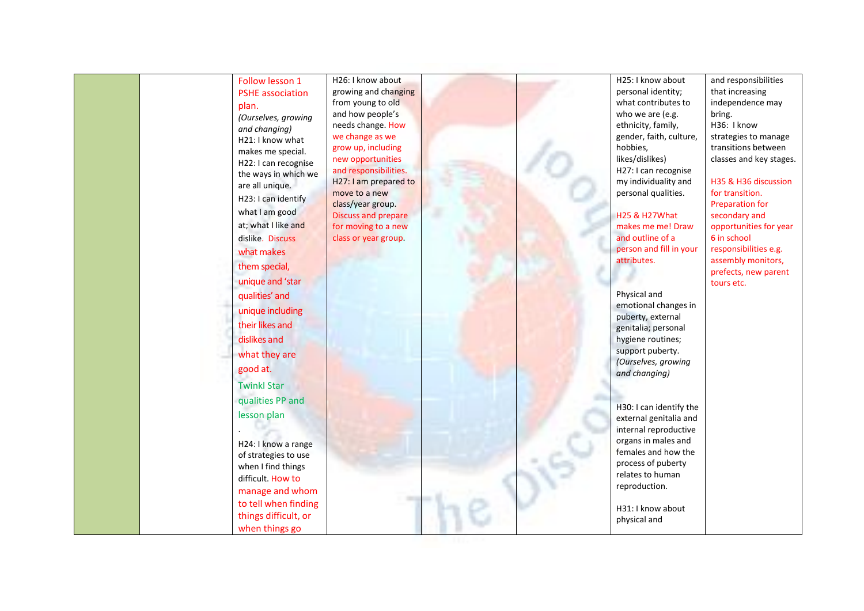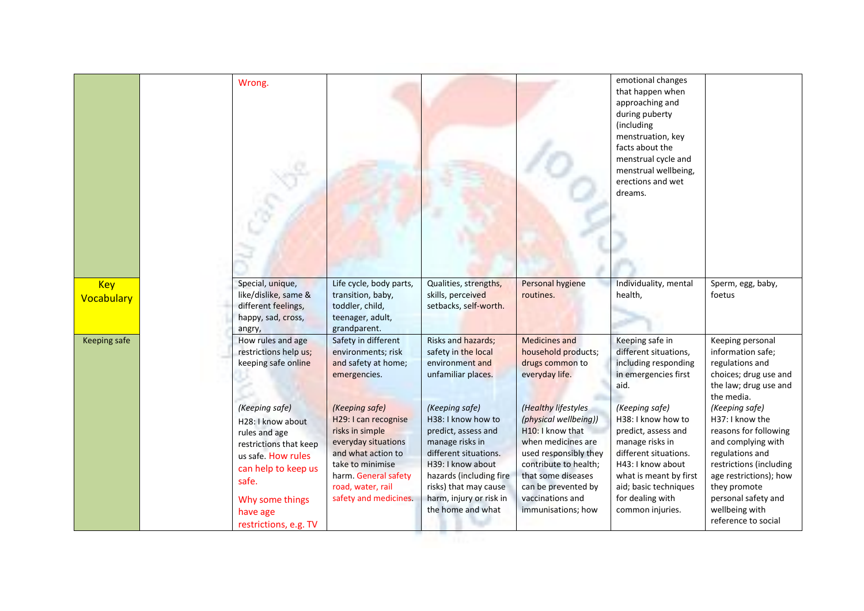|                          | Wrong.                                                                                                                                                                                       |                                                                                                                                                                                                  |                                                                                                                                                                                                                                  |                                                                                                                                                                                                                                 | emotional changes<br>that happen when<br>approaching and<br>during puberty<br>(including<br>menstruation, key<br>facts about the<br>menstrual cycle and<br>menstrual wellbeing,<br>erections and wet<br>dreams.         |                                                                                                                                                                                                                                          |
|--------------------------|----------------------------------------------------------------------------------------------------------------------------------------------------------------------------------------------|--------------------------------------------------------------------------------------------------------------------------------------------------------------------------------------------------|----------------------------------------------------------------------------------------------------------------------------------------------------------------------------------------------------------------------------------|---------------------------------------------------------------------------------------------------------------------------------------------------------------------------------------------------------------------------------|-------------------------------------------------------------------------------------------------------------------------------------------------------------------------------------------------------------------------|------------------------------------------------------------------------------------------------------------------------------------------------------------------------------------------------------------------------------------------|
| <b>Key</b><br>Vocabulary | Special, unique,<br>like/dislike, same &<br>different feelings,<br>happy, sad, cross,<br>angry,                                                                                              | Life cycle, body parts,<br>transition, baby,<br>toddler, child,<br>teenager, adult,<br>grandparent.                                                                                              | Qualities, strengths,<br>skills, perceived<br>setbacks, self-worth.                                                                                                                                                              | Personal hygiene<br>routines.                                                                                                                                                                                                   | Individuality, mental<br>health,                                                                                                                                                                                        | Sperm, egg, baby,<br>foetus                                                                                                                                                                                                              |
| <b>Keeping safe</b>      | How rules and age<br>restrictions help us;<br>keeping safe online                                                                                                                            | Safety in different<br>environments; risk<br>and safety at home;<br>emergencies.                                                                                                                 | Risks and hazards;<br>safety in the local<br>environment and<br>unfamiliar places.                                                                                                                                               | <b>Medicines and</b><br>household products;<br>drugs common to<br>everyday life.                                                                                                                                                | Keeping safe in<br>different situations,<br>including responding<br>in emergencies first<br>aid.                                                                                                                        | Keeping personal<br>information safe;<br>regulations and<br>choices; drug use and<br>the law; drug use and<br>the media.                                                                                                                 |
|                          | (Keeping safe)<br>H28: I know about<br>rules and age<br>restrictions that keep<br>us safe. How rules<br>can help to keep us<br>safe.<br>Why some things<br>have age<br>restrictions, e.g. TV | (Keeping safe)<br>H29: I can recognise<br>risks in simple<br>everyday situations<br>and what action to<br>take to minimise<br>harm. General safety<br>road, water, rail<br>safety and medicines. | (Keeping safe)<br>H38: I know how to<br>predict, assess and<br>manage risks in<br>different situations.<br>H39: I know about<br>hazards (including fire<br>risks) that may cause<br>harm, injury or risk in<br>the home and what | (Healthy lifestyles<br>(physical wellbeing))<br>H10: I know that<br>when medicines are<br>used responsibly they<br>contribute to health;<br>that some diseases<br>can be prevented by<br>vaccinations and<br>immunisations; how | (Keeping safe)<br>H38: I know how to<br>predict, assess and<br>manage risks in<br>different situations.<br>H43: I know about<br>what is meant by first<br>aid; basic techniques<br>for dealing with<br>common injuries. | (Keeping safe)<br>H37: I know the<br>reasons for following<br>and complying with<br>regulations and<br>restrictions (including<br>age restrictions); how<br>they promote<br>personal safety and<br>wellbeing with<br>reference to social |

**The Contract of the Contract of the Contract of the Contract of the Contract of the Contract of the Contract of the Contract of the Contract of The Contract of The Contract of The Contract of The Contract of The Contract**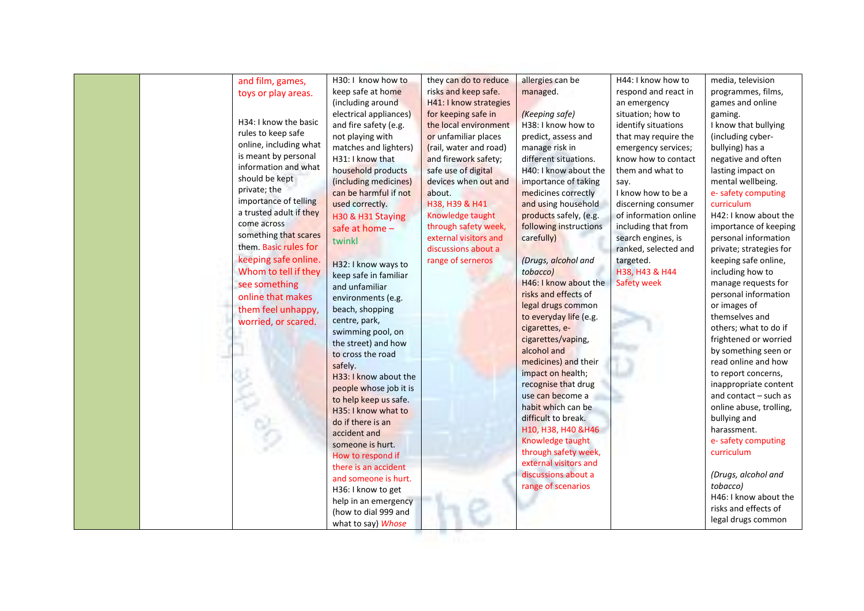| and film, games,        | H30: I know how to     | they can do to reduce  | allergies can be       | H44: I know how to    | media, television       |
|-------------------------|------------------------|------------------------|------------------------|-----------------------|-------------------------|
| toys or play areas.     | keep safe at home      | risks and keep safe.   | managed.               | respond and react in  | programmes, films,      |
|                         | (including around      | H41: I know strategies |                        | an emergency          | games and online        |
|                         | electrical appliances) | for keeping safe in    | (Keeping safe)         | situation; how to     | gaming.                 |
| H34: I know the basic   | and fire safety (e.g.  | the local environment  | H38: I know how to     | identify situations   | I know that bullying    |
| rules to keep safe      | not playing with       | or unfamiliar places   | predict, assess and    | that may require the  | (including cyber-       |
| online, including what  | matches and lighters)  | (rail, water and road) | manage risk in         | emergency services;   | bullying) has a         |
| is meant by personal    | H31: I know that       | and firework safety;   | different situations.  | know how to contact   | negative and often      |
| information and what    | household products     | safe use of digital    | H40: I know about the  | them and what to      | lasting impact on       |
| should be kept          | (including medicines)  | devices when out and   | importance of taking   | say.                  | mental wellbeing.       |
| private; the            | can be harmful if not  | about.                 | medicines correctly    | I know how to be a    | e- safety computing     |
| importance of telling   | used correctly.        | H38, H39 & H41         | and using household    | discerning consumer   | curriculum              |
| a trusted adult if they | H30 & H31 Staying      | Knowledge taught       | products safely, (e.g. | of information online | H42: I know about the   |
| come across             |                        | through safety week,   | following instructions | including that from   | importance of keeping   |
| something that scares   | safe at home -         | external visitors and  | carefully)             | search engines, is    | personal information    |
| them. Basic rules for   | twinkl                 | discussions about a    |                        | ranked, selected and  | private; strategies for |
| keeping safe online.    |                        | range of serneros      | (Drugs, alcohol and    | targeted.             | keeping safe online,    |
| Whom to tell if they    | H32: I know ways to    |                        | tobacco)               | H38, H43 & H44        | including how to        |
|                         | keep safe in familiar  |                        | H46: I know about the  | Safety week           | manage requests for     |
| see something           | and unfamiliar         |                        | risks and effects of   |                       | personal information    |
| online that makes       | environments (e.g.     |                        | legal drugs common     |                       | or images of            |
| them feel unhappy,      | beach, shopping        |                        | to everyday life (e.g. |                       | themselves and          |
| worried, or scared.     | centre, park,          |                        | cigarettes, e-         |                       | others; what to do if   |
|                         | swimming pool, on      |                        | cigarettes/vaping,     |                       | frightened or worried   |
|                         | the street) and how    |                        | alcohol and            |                       | by something seen or    |
|                         | to cross the road      |                        | medicines) and their   |                       | read online and how     |
|                         | safely.                |                        | impact on health;      |                       | to report concerns,     |
|                         | H33: I know about the  |                        | recognise that drug    |                       | inappropriate content   |
|                         | people whose job it is |                        | use can become a       |                       | and contact - such as   |
|                         | to help keep us safe.  |                        | habit which can be     |                       | online abuse, trolling, |
|                         | H35: I know what to    |                        | difficult to break.    |                       | bullying and            |
|                         | do if there is an      |                        | H10, H38, H40 &H46     |                       | harassment.             |
|                         | accident and           |                        | Knowledge taught       |                       | e- safety computing     |
|                         | someone is hurt.       |                        | through safety week,   |                       | curriculum              |
|                         | How to respond if      |                        | external visitors and  |                       |                         |
|                         | there is an accident   |                        | discussions about a    |                       | (Drugs, alcohol and     |
|                         | and someone is hurt.   |                        | range of scenarios     |                       | tobacco)                |
|                         | H36: I know to get     |                        |                        |                       | H46: I know about the   |
|                         | help in an emergency   |                        |                        |                       | risks and effects of    |
|                         | (how to dial 999 and   |                        |                        |                       |                         |
|                         | what to say) Whose     |                        |                        |                       | legal drugs common      |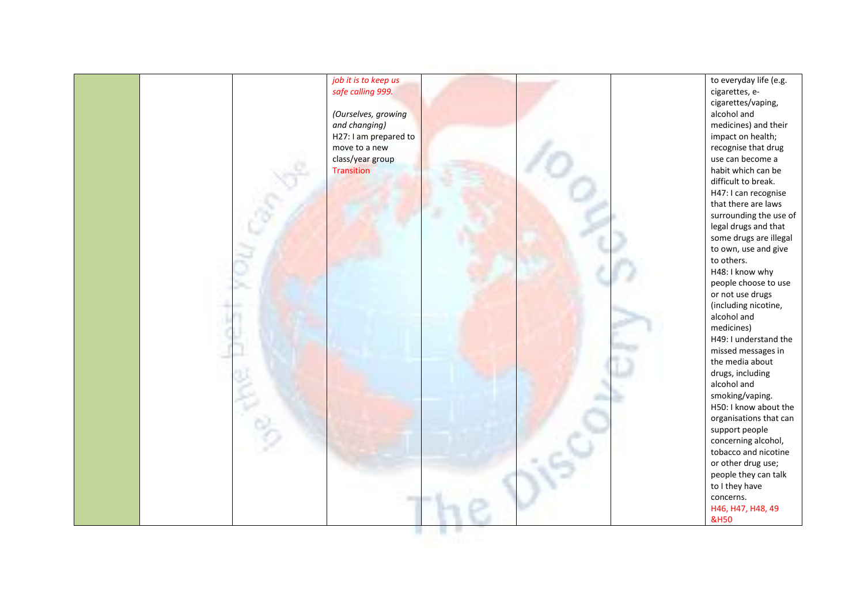